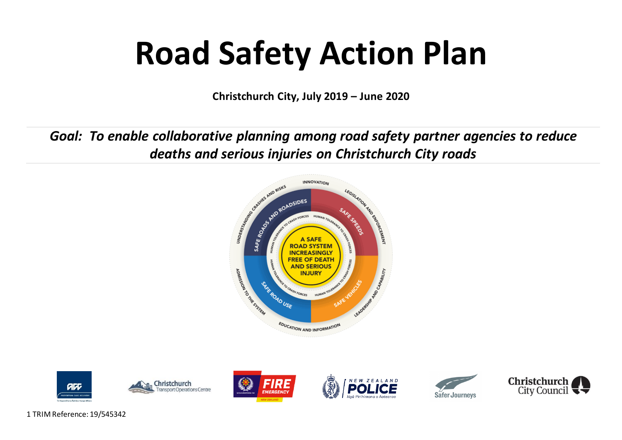# **Road Safety Action Plan**

**Christchurch City, July 2019 – June 2020**

*Goal: To enable collaborative planning among road safety partner agencies to reduce deaths and serious injuries on Christchurch City roads*













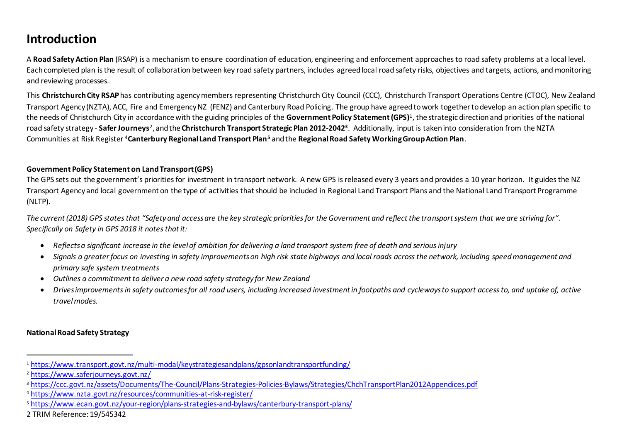## **Introduction**

A **Road Safety Action Plan** (RSAP) is a mechanism to ensure coordination of education, engineering and enforcement approaches to road safety problems at a local level. Each completed plan is the result of collaboration between key road safety partners, includes agreed local road safety risks, objectives and targets, actions, and monitoring and reviewing processes.

This **Christchurch City RSAP**has contributing agency members representing Christchurch City Council (CCC), Christchurch Transport Operations Centre (CTOC), New Zealand Transport Agency (NZTA), ACC, Fire and Emergency NZ (FENZ) and Canterbury Road Policing. The group have agreed to work together to develop an action plan specific to the needs of Christchurch City in accordance with the guiding principles of the **Government Policy Statement (GPS)**<sup>1</sup> , the strategic direction and priorities of the national road safety strategy - **Safer Journeys**<sup>2</sup>, and the **Christchurch Transport Strategic Plan 2012-2042**3. Additionally, input is taken into consideration from the NZTA Communities at Risk Register <sup>4</sup>**Canterbury Regional Land Transport Plan<sup>5</sup>** andthe **Regional Road Safety Working Group Action Plan**.

#### **Government Policy Statement on Land Transport (GPS)**

The GPS sets out the government's priorities for investment in transport network. A new GPS is released every 3 years and provides a 10 year horizon. It guides the NZ Transport Agency and local government on the type of activities that should be included in Regional Land Transport Plans and the National Land Transport Programme (NLTP).

*The current (2018) GPS states that "Safety and access are the key strategic priorities for the Government and reflect the transport system that we are striving for". Specifically on Safety in GPS 2018 it notes that it:*

- *Reflects a significant increase in the level of ambition for delivering a land transport system free of death and serious injury*
- *Signals a greater focus on investing in safety improvements on high risk state highways and local roads across the network, including speed management and primary safe system treatments*
- *Outlines a commitment to deliver a new road safety strategy for New Zealand*
- *Drives improvements in safety outcomes for all road users, including increased investment in footpaths and cycleways to support access to, and uptake of, active travel modes.*

#### **National Road Safety Strategy**

 $\overline{a}$ 

<sup>1</sup> <https://www.transport.govt.nz/multi-modal/keystrategiesandplans/gpsonlandtransportfunding/>

<sup>2</sup> <https://www.saferjourneys.govt.nz/>

<sup>&</sup>lt;sup>3</sup> <https://ccc.govt.nz/assets/Documents/The-Council/Plans-Strategies-Policies-Bylaws/Strategies/ChchTransportPlan2012Appendices.pdf>

<sup>4</sup> <https://www.nzta.govt.nz/resources/communities-at-risk-register/>

<sup>5</sup> <https://www.ecan.govt.nz/your-region/plans-strategies-and-bylaws/canterbury-transport-plans/>

<sup>2</sup> TRIM Reference: 19/545342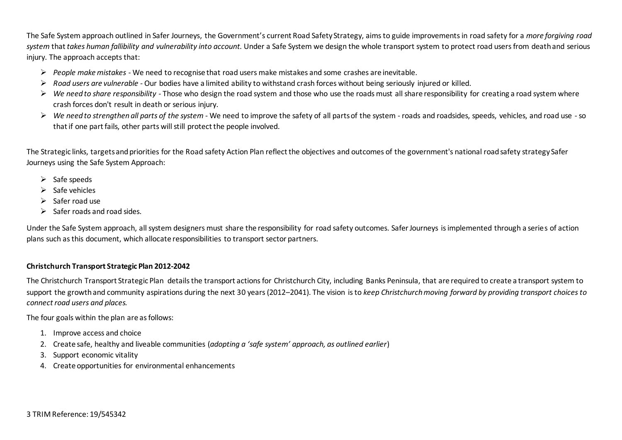The Safe System approach outlined in Safer Journeys, the Government's current Road Safety Strategy, aims to guide improvements in road safety for a *more forgiving road system* that *takes human fallibility and vulnerability into account.* Under a Safe System we design the whole transport system to protect road usersfrom death and serious injury. The approach accepts that:

- *People make mistakes*  We need to recognise that road users make mistakes and some crashes are inevitable.
- *Road users are vulnerable -* Our bodies have a limited ability to withstand crash forces without being seriously injured or killed.
- *We need to share responsibility -* Those who design the road system and those who use the roads must all share responsibility for creating a road system where crash forces don't result in death or serious injury.
- *We need to strengthen all parts of the system* We need to improve the safety of all parts of the system roads and roadsides, speeds, vehicles, and road use -so that if one part fails, other parts will still protect the people involved.

The Strategic links, targets and priorities for the Road safety Action Plan reflect the objectives and outcomes of the government's national road safety strategy Safer Journeys using the Safe System Approach:

- $\triangleright$  Safe speeds
- $\triangleright$  Safe vehicles
- $\triangleright$  Safer road use
- $\triangleright$  Safer roads and road sides.

Under the Safe System approach, all system designers must share the responsibility for road safety outcomes. Safer Journeys is implemented through a series of action plans such as this document, which allocate responsibilities to transport sector partners.

#### **Christchurch Transport Strategic Plan 2012-2042**

The Christchurch Transport Strategic Plan details the transport actions for Christchurch City, including Banks Peninsula, that are required to create a transport system to support the growth and community aspirations during the next 30 years (2012–2041). The vision is to *keep Christchurch moving forward by providing transport choices to connect road users and places.* 

The four goals within the plan are as follows:

- 1. Improve access and choice
- 2. Create safe, healthy and liveable communities (*adopting a 'safe system' approach, as outlined earlier*)
- 3. Support economic vitality
- 4. Create opportunities for environmental enhancements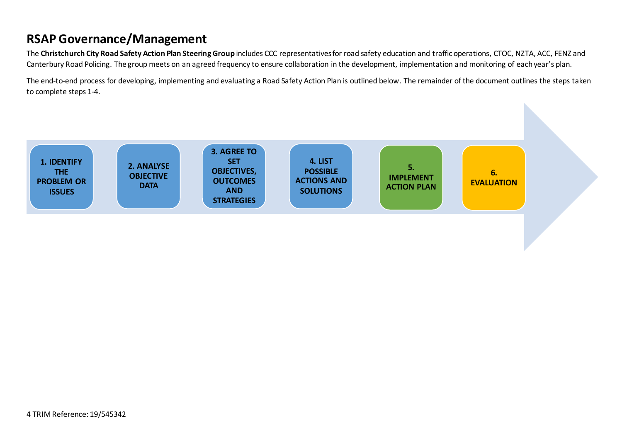## **RSAP Governance/Management**

The **Christchurch City Road Safety Action Plan Steering Group** includes CCC representatives for road safety education and traffic operations, CTOC, NZTA, ACC, FENZ and Canterbury Road Policing. The group meets on an agreed frequency to ensure collaboration in the development, implementation and monitoring of each year's plan.

The end-to-end process for developing, implementing and evaluating a Road Safety Action Plan is outlined below. The remainder of the document outlines the steps taken to complete steps 1-4.

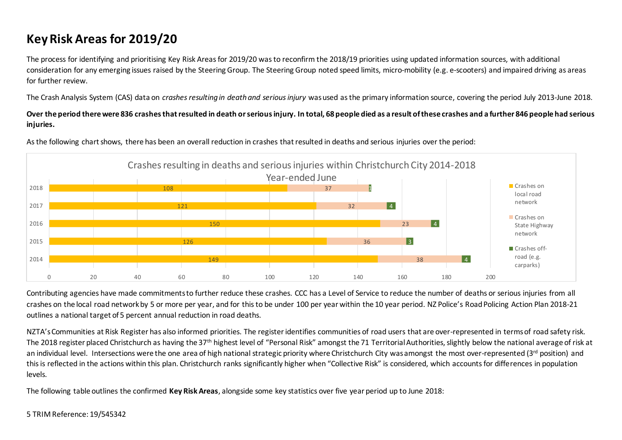# **Key Risk Areas for 2019/20**

The process for identifying and prioritising Key Risk Areasfor 2019/20 was to reconfirm the 2018/19 priorities using updated information sources, with additional consideration for any emerging issues raised by the Steering Group. The Steering Group noted speed limits, micro-mobility (e.g. e-scooters) and impaired driving as areas for further review.

The Crash Analysis System (CAS) data on *crashes resulting in death and serious injury* was used as the primary information source, covering the period July 2013-June 2018.

**Over the period there were 836 crashes that resulted in death or serious injury. In total, 68 people died as a result of these crashes and a further 846 people had serious injuries.** 



As the following chart shows, there has been an overall reduction in crashes that resulted in deaths and serious injuries over the period:

Contributing agencies have made commitments to further reduce these crashes. CCC has a Level of Service to reduce the number of deaths or serious injuries from all crashes on the local road network by 5 or more per year, and for this to be under 100 per year within the 10 year period. NZ Police's Road Policing Action Plan 2018-21 outlines a national target of 5 percent annual reduction in road deaths.

NZTA's Communities at Risk Register has also informed priorities. The register identifies communities of road users that are over-represented in terms of road safety risk. The 2018 register placed Christchurch as having the 37<sup>th</sup> highest level of "Personal Risk" amongst the 71 Territorial Authorities, slightly below the national average of risk at an individual level. Intersections were the one area of high national strategic priority where Christchurch City was amongst the most over-represented (3<sup>rd</sup> position) and this is reflected in the actions within this plan. Christchurch ranks significantly higher when "Collective Risk" is considered, which accounts for differences in population levels.

The following table outlines the confirmed **Key Risk Areas**, alongside some key statistics over five year period up to June 2018: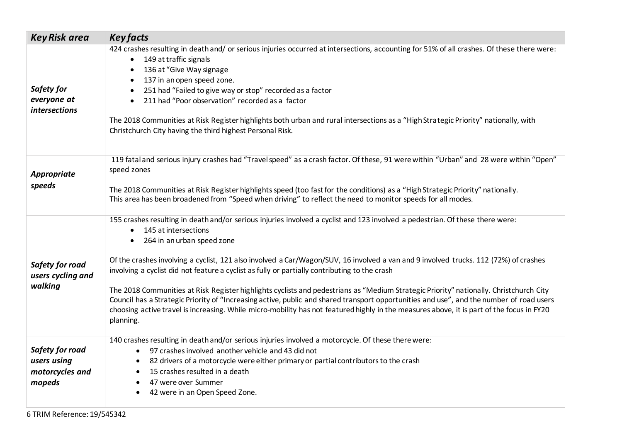| <b>Key Risk area</b>                                        | <b>Key facts</b>                                                                                                                                                                                                                                                                                                                                                                                                                                                                                                                                                                                                                                                                                                                                                                                                                                                                                       |
|-------------------------------------------------------------|--------------------------------------------------------------------------------------------------------------------------------------------------------------------------------------------------------------------------------------------------------------------------------------------------------------------------------------------------------------------------------------------------------------------------------------------------------------------------------------------------------------------------------------------------------------------------------------------------------------------------------------------------------------------------------------------------------------------------------------------------------------------------------------------------------------------------------------------------------------------------------------------------------|
| Safety for<br>everyone at<br>intersections                  | 424 crashes resulting in death and/ or serious injuries occurred at intersections, accounting for 51% of all crashes. Of these there were:<br>149 at traffic signals<br>$\bullet$<br>136 at "Give Way signage<br>$\bullet$<br>137 in an open speed zone.<br>$\bullet$<br>251 had "Failed to give way or stop" recorded as a factor<br>$\bullet$<br>211 had "Poor observation" recorded as a factor<br>$\bullet$<br>The 2018 Communities at Risk Register highlights both urban and rural intersections as a "High Strategic Priority" nationally, with<br>Christchurch City having the third highest Personal Risk.                                                                                                                                                                                                                                                                                    |
| <b>Appropriate</b><br>speeds                                | 119 fatal and serious injury crashes had "Travel speed" as a crash factor. Of these, 91 were within "Urban" and 28 were within "Open"<br>speed zones<br>The 2018 Communities at Risk Register highlights speed (too fast for the conditions) as a "High Strategic Priority" nationally.<br>This area has been broadened from "Speed when driving" to reflect the need to monitor speeds for all modes.                                                                                                                                                                                                                                                                                                                                                                                                                                                                                                 |
| Safety for road<br>users cycling and<br>walking             | 155 crashes resulting in death and/or serious injuries involved a cyclist and 123 involved a pedestrian. Of these there were:<br>145 at intersections<br>$\bullet$<br>264 in an urban speed zone<br>$\bullet$<br>Of the crashes involving a cyclist, 121 also involved a Car/Wagon/SUV, 16 involved a van and 9 involved trucks. 112 (72%) of crashes<br>involving a cyclist did not feature a cyclist as fully or partially contributing to the crash<br>The 2018 Communities at Risk Register highlights cyclists and pedestrians as "Medium Strategic Priority" nationally. Christchurch City<br>Council has a Strategic Priority of "Increasing active, public and shared transport opportunities and use", and the number of road users<br>choosing active travel is increasing. While micro-mobility has not featured highly in the measures above, it is part of the focus in FY20<br>planning. |
| Safety for road<br>users using<br>motorcycles and<br>mopeds | 140 crashes resulting in death and/or serious injuries involved a motorcycle. Of these there were:<br>97 crashes involved another vehicle and 43 did not<br>$\bullet$<br>82 drivers of a motorcycle were either primary or partial contributors to the crash<br>$\bullet$<br>15 crashes resulted in a death<br>$\bullet$<br>47 were over Summer<br>$\bullet$<br>42 were in an Open Speed Zone.                                                                                                                                                                                                                                                                                                                                                                                                                                                                                                         |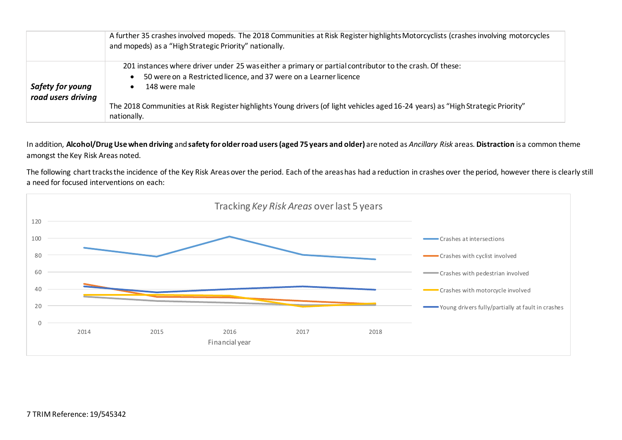|                                        | A further 35 crashes involved mopeds. The 2018 Communities at Risk Register highlights Motorcyclists (crashes involving motorcycles<br>and mopeds) as a "High Strategic Priority" nationally.              |
|----------------------------------------|------------------------------------------------------------------------------------------------------------------------------------------------------------------------------------------------------------|
| Safety for young<br>road users driving | 201 instances where driver under 25 was either a primary or partial contributor to the crash. Of these:<br>50 were on a Restricted licence, and 37 were on a Learner licence<br>$\bullet$<br>148 were male |
|                                        | The 2018 Communities at Risk Register highlights Young drivers (of light vehicles aged 16-24 years) as "High Strategic Priority"<br>nationally.                                                            |

In addition, **Alcohol/Drug Use when driving** and **safety for older road users (aged 75 years and older)** are noted as *Ancillary Risk* areas. **Distraction** is a common theme amongst the Key Risk Areas noted.

The following chart tracks the incidence of the Key Risk Areas over the period. Each of the areas has had a reduction in crashes over the period, however there is clearly still a need for focused interventions on each:

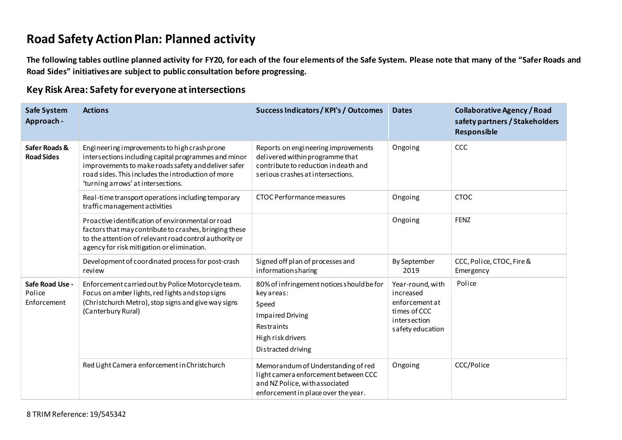## **Road Safety Action Plan: Planned activity**

**The following tables outline planned activity for FY20, for each of the four elements of the Safe System. Please note that many of the "Safer Roads and Road Sides" initiatives are subject to public consultation before progressing.** 

#### **Key Risk Area: Safety for everyone at intersections**

| <b>Safe System</b><br>Approach -         | <b>Actions</b>                                                                                                                                                                                                                                          | Success Indicators / KPI's / Outcomes                                                                                                                | <b>Dates</b>                                                                                        | <b>Collaborative Agency / Road</b><br>safety partners / Stakeholders<br>Responsible |
|------------------------------------------|---------------------------------------------------------------------------------------------------------------------------------------------------------------------------------------------------------------------------------------------------------|------------------------------------------------------------------------------------------------------------------------------------------------------|-----------------------------------------------------------------------------------------------------|-------------------------------------------------------------------------------------|
| Safer Roads &<br><b>Road Sides</b>       | Engineering improvements to high crash prone<br>intersections including capital programmes and minor<br>improvements to make roads safety and deliver safer<br>road sides. This includes the introduction of more<br>'turning arrows' at intersections. | Reports on engineering improvements<br>delivered within programme that<br>contribute to reduction indeath and<br>serious crashes at intersections.   | Ongoing                                                                                             | CCC                                                                                 |
|                                          | Real-time transport operations including temporary<br>traffic management activities                                                                                                                                                                     | CTOC Performance measures                                                                                                                            | Ongoing                                                                                             | <b>CTOC</b>                                                                         |
|                                          | Proactive identification of environmental or road<br>factors that may contribute to crashes, bringing these<br>to the attention of relevant road control authority or<br>agency for risk mitigation or elimination.                                     |                                                                                                                                                      | Ongoing                                                                                             | <b>FENZ</b>                                                                         |
|                                          | Development of coordinated process for post-crash<br>review                                                                                                                                                                                             | Signed off plan of processes and<br>informationsharing                                                                                               | By September<br>2019                                                                                | CCC, Police, CTOC, Fire &<br>Emergency                                              |
| Safe Road Use -<br>Police<br>Enforcement | Enforcement carried out by Police Motorcycle team.<br>Focus on amber lights, red lights and stop signs<br>(Christchurch Metro), stop signs and give way signs<br>(Canterbury Rural)                                                                     | 80% of infringement notices should be for<br>key areas:<br>Speed<br><b>Impaired Driving</b><br>Restraints<br>High risk drivers<br>Distracted driving | Year-round, with<br>increased<br>enforcement at<br>times of CCC<br>intersection<br>safety education | Police                                                                              |
|                                          | Red Light Camera enforcement in Christchurch                                                                                                                                                                                                            | Memorandum of Understanding of red<br>light camera enforcement between CCC<br>and NZ Police, with associated<br>enforcement in place over the year.  | Ongoing                                                                                             | CCC/Police                                                                          |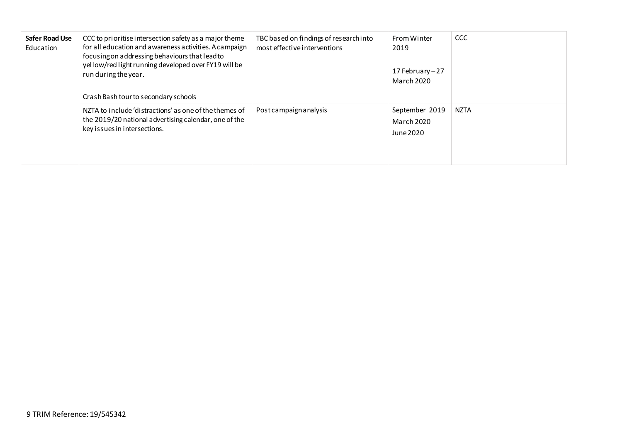| <b>Safer Road Use</b><br>Education | CCC to prioritise intersection safety as a major theme<br>for all education and awareness activities. A campaign<br>focusing on addressing behaviours that lead to<br>yellow/red light running developed over FY19 will be<br>run during the year.<br>Crash Bash tour to secondary schools | TBC based on findings of research into<br>most effective interventions | From Winter<br>2019<br>17 February - 27<br><b>March 2020</b> | <b>CCC</b>  |
|------------------------------------|--------------------------------------------------------------------------------------------------------------------------------------------------------------------------------------------------------------------------------------------------------------------------------------------|------------------------------------------------------------------------|--------------------------------------------------------------|-------------|
|                                    | NZTA to include 'distractions' as one of the themes of<br>the 2019/20 national advertising calendar, one of the<br>key issues in intersections.                                                                                                                                            | Post campaign analysis                                                 | September 2019<br><b>March 2020</b><br>June 2020             | <b>NZTA</b> |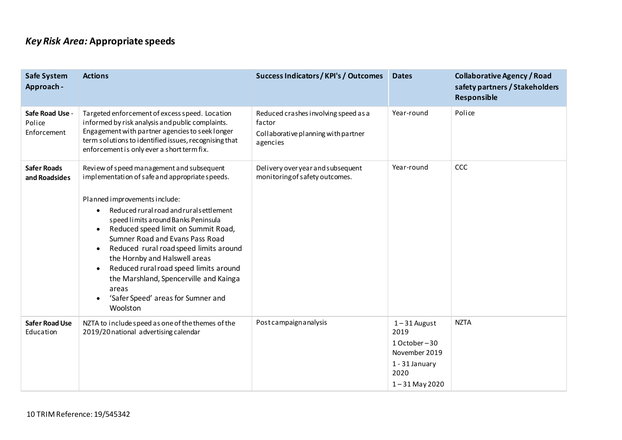## *Key Risk Area:* **Appropriate speeds**

| <b>Safe System</b><br>Approach -         | <b>Actions</b>                                                                                                                                                                                                                                                                                                                                                                                                                                                                                                                                                                      | <b>Success Indicators / KPI's / Outcomes</b>                                                      | <b>Dates</b>                                                                                            | <b>Collaborative Agency / Road</b><br>safety partners / Stakeholders<br>Responsible |
|------------------------------------------|-------------------------------------------------------------------------------------------------------------------------------------------------------------------------------------------------------------------------------------------------------------------------------------------------------------------------------------------------------------------------------------------------------------------------------------------------------------------------------------------------------------------------------------------------------------------------------------|---------------------------------------------------------------------------------------------------|---------------------------------------------------------------------------------------------------------|-------------------------------------------------------------------------------------|
| Safe Road Use -<br>Police<br>Enforcement | Targeted enforcement of excess speed. Location<br>informed by risk analysis and public complaints.<br>Engagement with partner agencies to seek longer<br>term solutions to identified issues, recognising that<br>enforcement is only ever a short term fix.                                                                                                                                                                                                                                                                                                                        | Reduced crashes involving speed as a<br>factor<br>Collaborative planning with partner<br>agencies | Year-round                                                                                              | Police                                                                              |
| <b>Safer Roads</b><br>and Roadsides      | Review of speed management and subsequent<br>implementation of safe and appropriate speeds.<br>Planned improvements include:<br>Reduced rural road and rural settlement<br>$\bullet$<br>speed limits around Banks Peninsula<br>Reduced speed limit on Summit Road,<br>$\bullet$<br>Sumner Road and Evans Pass Road<br>Reduced rural road speed limits around<br>$\bullet$<br>the Hornby and Halswell areas<br>Reduced rural road speed limits around<br>$\bullet$<br>the Marshland, Spencerville and Kainga<br>areas<br>'Safer Speed' areas for Sumner and<br>$\bullet$<br>Woolston | Delivery over year and subsequent<br>monitoring of safety outcomes.                               | Year-round                                                                                              | CCC                                                                                 |
| <b>Safer Road Use</b><br>Education       | NZTA to include speed as one of the themes of the<br>2019/20 national advertising calendar                                                                                                                                                                                                                                                                                                                                                                                                                                                                                          | Post campaign analysis                                                                            | $1 - 31$ August<br>2019<br>1 October-30<br>November 2019<br>1 - 31 January<br>2020<br>$1 - 31$ May 2020 | <b>NZTA</b>                                                                         |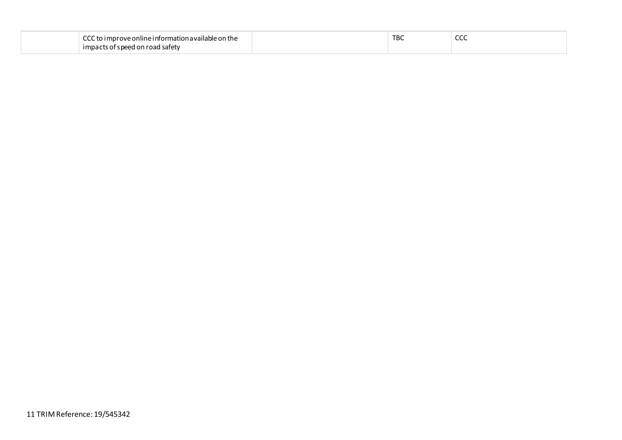| $\sim$<br>i improve online information available on the l<br>ี | <b>TBC</b> | $\sim$<br>ccc |
|----------------------------------------------------------------|------------|---------------|
| at speed on road.<br>l safety<br>$\lnot$ impact                |            |               |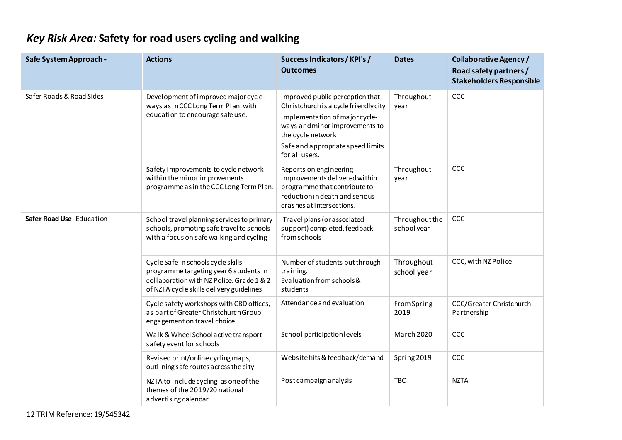# *Key Risk Area:* **Safety for road users cycling and walking**

| Safe System Approach -    | <b>Actions</b>                                                                                                                                                        | Success Indicators / KPI's /<br><b>Outcomes</b>                                                                                                                                                                          | <b>Dates</b>                  | <b>Collaborative Agency /</b><br>Road safety partners /<br><b>Stakeholders Responsible</b> |
|---------------------------|-----------------------------------------------------------------------------------------------------------------------------------------------------------------------|--------------------------------------------------------------------------------------------------------------------------------------------------------------------------------------------------------------------------|-------------------------------|--------------------------------------------------------------------------------------------|
| Safer Roads & Road Sides  | Development of improved major cycle-<br>ways as in CCC Long Term Plan, with<br>education to encourage safe use.                                                       | Improved public perception that<br>Christchurch is a cycle friendly city<br>Implementation of major cycle-<br>ways and minor improvements to<br>the cycle network<br>Safe and appropriate speed limits<br>for all users. | Throughout<br>year            | CCC                                                                                        |
|                           | Safety improvements to cycle network<br>within the minor improvements<br>programme as in the CCC Long Term Plan.                                                      | Reports on engineering<br>improvements delivered within<br>programme that contribute to<br>reduction indeath and serious<br>crashes at intersections.                                                                    | Throughout<br>year            | CCC                                                                                        |
| Safer Road Use -Education | School travel planningservices to primary<br>schools, promoting safe travel to schools<br>with a focus on safe walking and cycling                                    | Travel plans (or associated<br>support) completed, feedback<br>from schools                                                                                                                                              | Throughout the<br>school year | CCC                                                                                        |
|                           | Cycle Safe in schools cycle skills<br>programme targeting year 6 students in<br>collaboration with NZ Police. Grade 1 & 2<br>of NZTA cycle skills delivery guidelines | Number of students put through<br>training.<br>Evaluation from schools &<br>students                                                                                                                                     | Throughout<br>school year     | CCC, with NZ Police                                                                        |
|                           | Cycle safety workshops with CBD offices,<br>as part of Greater Christchurch Group<br>engagement on travel choice                                                      | Attendance and evaluation                                                                                                                                                                                                | From Spring<br>2019           | CCC/Greater Christchurch<br>Partnership                                                    |
|                           | Walk & Wheel School active transport<br>safety event for schools                                                                                                      | School participation levels                                                                                                                                                                                              | March 2020                    | CCC                                                                                        |
|                           | Revised print/online cycling maps,<br>outlining safe routes across the city                                                                                           | Website hits & feedback/demand                                                                                                                                                                                           | Spring 2019                   | CCC                                                                                        |
|                           | NZTA to include cycling as one of the<br>themes of the 2019/20 national<br>advertising calendar                                                                       | Post campaign analysis                                                                                                                                                                                                   | <b>TBC</b>                    | <b>NZTA</b>                                                                                |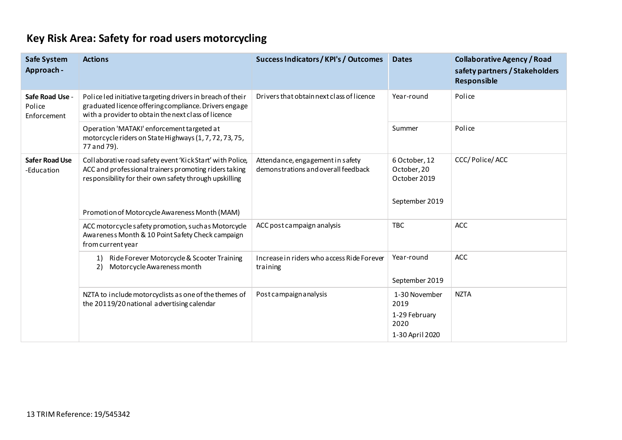# **Key Risk Area: Safety for road users motorcycling**

| <b>Safe System</b><br>Approach -         | <b>Actions</b>                                                                                                                                                               | <b>Success Indicators / KPI's / Outcomes</b>                            | <b>Dates</b>                                                      | <b>Collaborative Agency / Road</b><br>safety partners / Stakeholders<br>Responsible |
|------------------------------------------|------------------------------------------------------------------------------------------------------------------------------------------------------------------------------|-------------------------------------------------------------------------|-------------------------------------------------------------------|-------------------------------------------------------------------------------------|
| Safe Road Use -<br>Police<br>Enforcement | Police led initiative targeting drivers in breach of their<br>graduated licence offering compliance. Drivers engage<br>with a provider to obtain the next class of licence   | Drivers that obtain next class of licence                               | Year-round                                                        | Police                                                                              |
|                                          | Operation 'MATAKI' enforcement targeted at<br>motorcycle riders on State Highways (1, 7, 72, 73, 75,<br>77 and 79).                                                          |                                                                         | Summer                                                            | Police                                                                              |
| <b>Safer Road Use</b><br>-Education      | Collaborative road safety event 'Kick Start' with Police,<br>ACC and professional trainers promoting riders taking<br>responsibility for their own safety through upskilling | Attendance, engagement in safety<br>demonstrations and overall feedback | 6 October, 12<br>October, 20<br>October 2019<br>September 2019    | CCC/Police/ACC                                                                      |
|                                          | Promotion of Motorcycle Awareness Month (MAM)                                                                                                                                |                                                                         |                                                                   |                                                                                     |
|                                          | ACC motorcycle safety promotion, such as Motorcycle<br>Awareness Month & 10 Point Safety Check campaign<br>from current year                                                 | ACC post campaign analysis                                              | <b>TBC</b>                                                        | <b>ACC</b>                                                                          |
|                                          | Ride Forever Motorcycle & Scooter Training<br>1)<br>Motorcycle Awareness month<br>2)                                                                                         | Increase in riders who access Ride Forever<br>training                  | Year-round<br>September 2019                                      | ACC                                                                                 |
|                                          | NZTA to include motorcyclists as one of the themes of<br>the 20119/20 national advertising calendar                                                                          | Post campaign analysis                                                  | 1-30 November<br>2019<br>1-29 February<br>2020<br>1-30 April 2020 | <b>NZTA</b>                                                                         |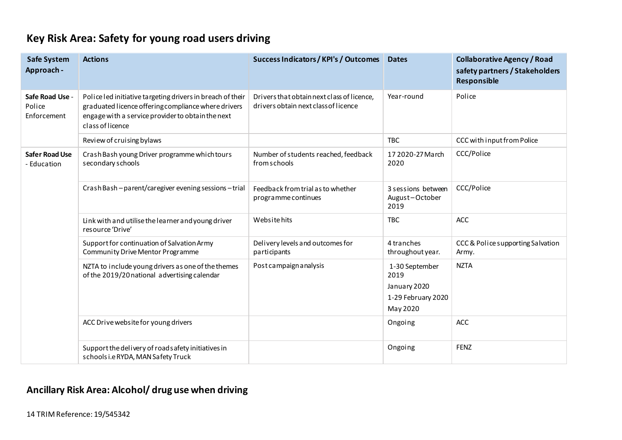| <b>Safe System</b><br>Approach -         | <b>Actions</b>                                                                                                                                                                             | Success Indicators / KPI's / Outcomes                                              | <b>Dates</b>                                                             | <b>Collaborative Agency / Road</b><br>safety partners / Stakeholders<br>Responsible |
|------------------------------------------|--------------------------------------------------------------------------------------------------------------------------------------------------------------------------------------------|------------------------------------------------------------------------------------|--------------------------------------------------------------------------|-------------------------------------------------------------------------------------|
| Safe Road Use -<br>Police<br>Enforcement | Police led initiative targeting drivers in breach of their<br>graduated licence offering compliance where drivers<br>engage with a service provider to obtain the next<br>class of licence | Drivers that obtain next class of licence,<br>drivers obtain next class of licence | Year-round                                                               | Police                                                                              |
|                                          | Review of cruising bylaws                                                                                                                                                                  |                                                                                    | <b>TBC</b>                                                               | CCC with input from Police                                                          |
| <b>Safer Road Use</b><br>- Education     | Crash Bash young Driver programme which tours<br>secondary schools                                                                                                                         | Number of students reached, feedback<br>from schools                               | 17 2020-27 March<br>2020                                                 | CCC/Police                                                                          |
|                                          | CrashBash-parent/caregiver evening sessions-trial                                                                                                                                          | Feedback from trial as to whether<br>programme continues                           | 3 sessions between<br>August-October<br>2019                             | CCC/Police                                                                          |
|                                          | Link with and utilise the learner and young driver<br>resource 'Drive'                                                                                                                     | Website hits                                                                       | <b>TBC</b>                                                               | <b>ACC</b>                                                                          |
|                                          | Support for continuation of Salvation Army<br><b>Community Drive Mentor Programme</b>                                                                                                      | Delivery levels and outcomes for<br>participants                                   | 4 tranches<br>throughout year.                                           | CCC & Police supporting Salvation<br>Army.                                          |
|                                          | NZTA to include young drivers as one of the themes<br>of the 2019/20 national advertising calendar                                                                                         | Post campaign analysis                                                             | 1-30 September<br>2019<br>January 2020<br>1-29 February 2020<br>May 2020 | <b>NZTA</b>                                                                         |
|                                          | ACC Drive website for young drivers                                                                                                                                                        |                                                                                    | Ongoing                                                                  | <b>ACC</b>                                                                          |
|                                          | Support the delivery of road safety initiatives in<br>schools i.e RYDA, MAN Safety Truck                                                                                                   |                                                                                    | Ongoing                                                                  | <b>FENZ</b>                                                                         |

## **Ancillary Risk Area: Alcohol/ drug use when driving**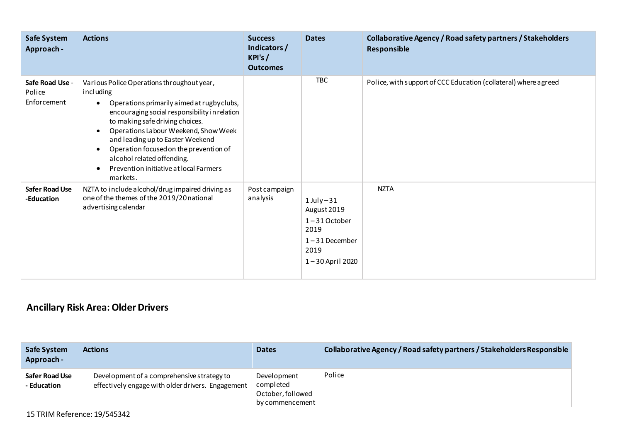| Safe System<br>Approach -                | <b>Actions</b>                                                                                                                                                                                                                                                                                                                                                                                                                             | <b>Success</b><br>Indicators /<br>KPI's/<br><b>Outcomes</b> | <b>Dates</b>                                                                                              | Collaborative Agency / Road safety partners / Stakeholders<br>Responsible |
|------------------------------------------|--------------------------------------------------------------------------------------------------------------------------------------------------------------------------------------------------------------------------------------------------------------------------------------------------------------------------------------------------------------------------------------------------------------------------------------------|-------------------------------------------------------------|-----------------------------------------------------------------------------------------------------------|---------------------------------------------------------------------------|
| Safe Road Use -<br>Police<br>Enforcement | Various Police Operations throughout year,<br>including<br>Operations primarily aimed at rugby clubs,<br>$\bullet$<br>encouraging social responsibility in relation<br>to making safe driving choices.<br>Operations Labour Weekend, Show Week<br>$\bullet$<br>and leading up to Easter Weekend<br>Operation focused on the prevention of<br>$\bullet$<br>alcohol related offending.<br>Prevention initiative at local Farmers<br>markets. |                                                             | <b>TBC</b>                                                                                                | Police, with support of CCC Education (collateral) where agreed           |
| <b>Safer Road Use</b><br>-Education      | NZTA to include alcohol/drugimpaired driving as<br>one of the themes of the 2019/20 national<br>advertising calendar                                                                                                                                                                                                                                                                                                                       | Post campaign<br>analysis                                   | $1$ July $-31$<br>August 2019<br>$1 - 31$ October<br>2019<br>$1 - 31$ December<br>2019<br>1-30 April 2020 | <b>NZTA</b>                                                               |

## **Ancillary Risk Area: Older Drivers**

| <b>Safe System</b><br>Approach - | <b>Actions</b>                                                                                  | <b>Dates</b>                                                     | Collaborative Agency / Road safety partners / Stakeholders Responsible |
|----------------------------------|-------------------------------------------------------------------------------------------------|------------------------------------------------------------------|------------------------------------------------------------------------|
| Safer Road Use<br>- Education    | Development of a comprehensive strategy to<br>effectively engage with older drivers. Engagement | Development<br>completed<br>October, followed<br>by commencement | Police                                                                 |